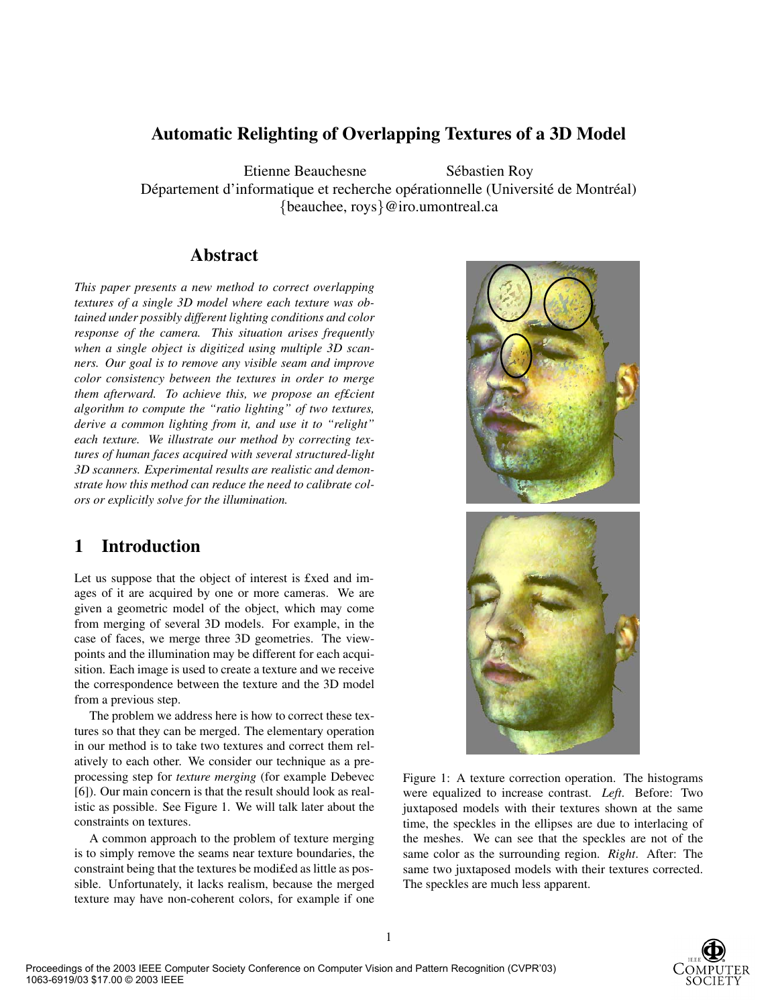## **Automatic Relighting of Overlapping Textures of a 3D Model**

Etienne Beauchesne Sébastien Roy Département d'informatique et recherche opérationnelle (Université de Montréal) {beauchee, roys}@iro.umontreal.ca

## **Abstract**

*This paper presents a new method to correct overlapping textures of a single 3D model where each texture was obtained under possibly different lighting conditions and color response of the camera. This situation arises frequently when a single object is digitized using multiple 3D scanners. Our goal is to remove any visible seam and improve color consistency between the textures in order to merge them afterward. To achieve this, we propose an ef£cient algorithm to compute the "ratio lighting" of two textures, derive a common lighting from it, and use it to "relight" each texture. We illustrate our method by correcting textures of human faces acquired with several structured-light 3D scanners. Experimental results are realistic and demonstrate how this method can reduce the need to calibrate colors or explicitly solve for the illumination.*

# **1 Introduction**

Let us suppose that the object of interest is £xed and images of it are acquired by one or more cameras. We are given a geometric model of the object, which may come from merging of several 3D models. For example, in the case of faces, we merge three 3D geometries. The viewpoints and the illumination may be different for each acquisition. Each image is used to create a texture and we receive the correspondence between the texture and the 3D model from a previous step.

The problem we address here is how to correct these textures so that they can be merged. The elementary operation in our method is to take two textures and correct them relatively to each other. We consider our technique as a preprocessing step for *texture merging* (for example Debevec [6]). Our main concern is that the result should look as realistic as possible. See Figure 1. We will talk later about the constraints on textures.

A common approach to the problem of texture merging is to simply remove the seams near texture boundaries, the constraint being that the textures be modi£ed as little as possible. Unfortunately, it lacks realism, because the merged texture may have non-coherent colors, for example if one



Figure 1: A texture correction operation. The histograms were equalized to increase contrast. *Left*. Before: Two juxtaposed models with their textures shown at the same time, the speckles in the ellipses are due to interlacing of the meshes. We can see that the speckles are not of the same color as the surrounding region. *Right*. After: The same two juxtaposed models with their textures corrected. The speckles are much less apparent.

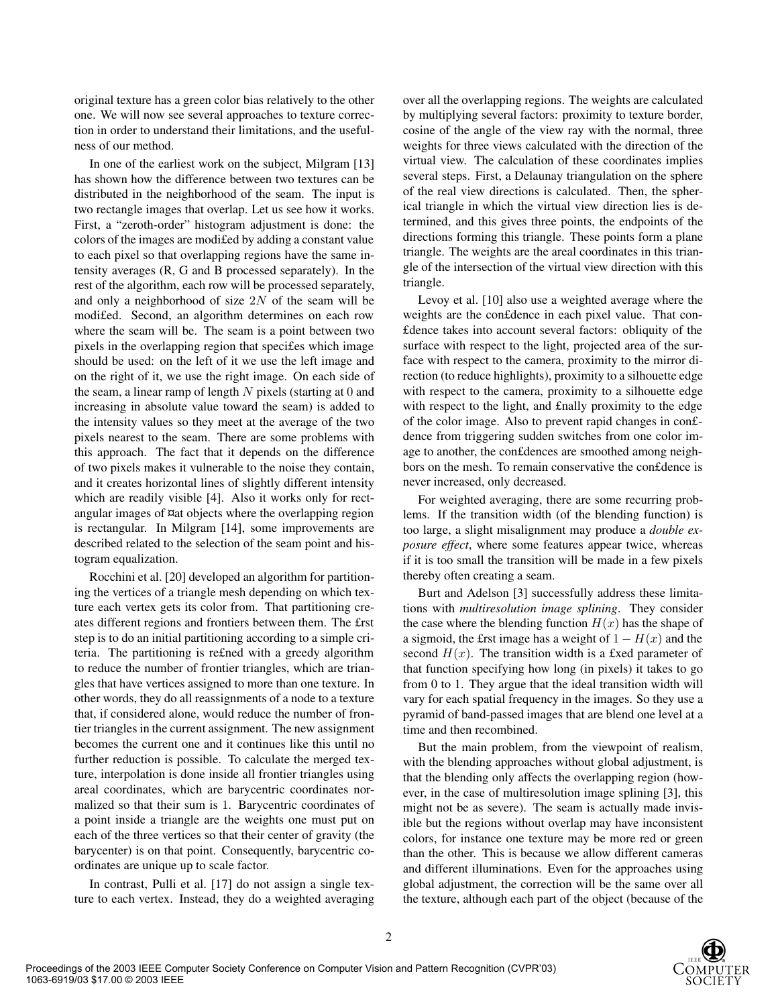original texture has a green color bias relatively to the other one. We will now see several approaches to texture correction in order to understand their limitations, and the usefulness of our method.

In one of the earliest work on the subject, Milgram [13] has shown how the difference between two textures can be distributed in the neighborhood of the seam. The input is two rectangle images that overlap. Let us see how it works. First, a "zeroth-order" histogram adjustment is done: the colors of the images are modi£ed by adding a constant value to each pixel so that overlapping regions have the same intensity averages (R, G and B processed separately). In the rest of the algorithm, each row will be processed separately, and only a neighborhood of size 2N of the seam will be modi£ed. Second, an algorithm determines on each row where the seam will be. The seam is a point between two pixels in the overlapping region that speci£es which image should be used: on the left of it we use the left image and on the right of it, we use the right image. On each side of the seam, a linear ramp of length  $N$  pixels (starting at 0 and increasing in absolute value toward the seam) is added to the intensity values so they meet at the average of the two pixels nearest to the seam. There are some problems with this approach. The fact that it depends on the difference of two pixels makes it vulnerable to the noise they contain, and it creates horizontal lines of slightly different intensity which are readily visible [4]. Also it works only for rectangular images of ¤at objects where the overlapping region is rectangular. In Milgram [14], some improvements are described related to the selection of the seam point and histogram equalization.

Rocchini et al. [20] developed an algorithm for partitioning the vertices of a triangle mesh depending on which texture each vertex gets its color from. That partitioning creates different regions and frontiers between them. The £rst step is to do an initial partitioning according to a simple criteria. The partitioning is re£ned with a greedy algorithm to reduce the number of frontier triangles, which are triangles that have vertices assigned to more than one texture. In other words, they do all reassignments of a node to a texture that, if considered alone, would reduce the number of frontier triangles in the current assignment. The new assignment becomes the current one and it continues like this until no further reduction is possible. To calculate the merged texture, interpolation is done inside all frontier triangles using areal coordinates, which are barycentric coordinates normalized so that their sum is 1. Barycentric coordinates of a point inside a triangle are the weights one must put on each of the three vertices so that their center of gravity (the barycenter) is on that point. Consequently, barycentric coordinates are unique up to scale factor.

In contrast, Pulli et al. [17] do not assign a single texture to each vertex. Instead, they do a weighted averaging

over all the overlapping regions. The weights are calculated by multiplying several factors: proximity to texture border, cosine of the angle of the view ray with the normal, three weights for three views calculated with the direction of the virtual view. The calculation of these coordinates implies several steps. First, a Delaunay triangulation on the sphere of the real view directions is calculated. Then, the spherical triangle in which the virtual view direction lies is determined, and this gives three points, the endpoints of the directions forming this triangle. These points form a plane triangle. The weights are the areal coordinates in this triangle of the intersection of the virtual view direction with this triangle.

Levoy et al. [10] also use a weighted average where the weights are the con£dence in each pixel value. That con- £dence takes into account several factors: obliquity of the surface with respect to the light, projected area of the surface with respect to the camera, proximity to the mirror direction (to reduce highlights), proximity to a silhouette edge with respect to the camera, proximity to a silhouette edge with respect to the light, and £nally proximity to the edge of the color image. Also to prevent rapid changes in con£ dence from triggering sudden switches from one color image to another, the con£dences are smoothed among neighbors on the mesh. To remain conservative the con£dence is never increased, only decreased.

For weighted averaging, there are some recurring problems. If the transition width (of the blending function) is too large, a slight misalignment may produce a *double exposure effect*, where some features appear twice, whereas if it is too small the transition will be made in a few pixels thereby often creating a seam.

Burt and Adelson [3] successfully address these limitations with *multiresolution image splining*. They consider the case where the blending function  $H(x)$  has the shape of a sigmoid, the £rst image has a weight of  $1 - H(x)$  and the second  $H(x)$ . The transition width is a £xed parameter of that function specifying how long (in pixels) it takes to go from 0 to 1. They argue that the ideal transition width will vary for each spatial frequency in the images. So they use a pyramid of band-passed images that are blend one level at a time and then recombined.

But the main problem, from the viewpoint of realism, with the blending approaches without global adjustment, is that the blending only affects the overlapping region (however, in the case of multiresolution image splining [3], this might not be as severe). The seam is actually made invisible but the regions without overlap may have inconsistent colors, for instance one texture may be more red or green than the other. This is because we allow different cameras and different illuminations. Even for the approaches using global adjustment, the correction will be the same over all the texture, although each part of the object (because of the

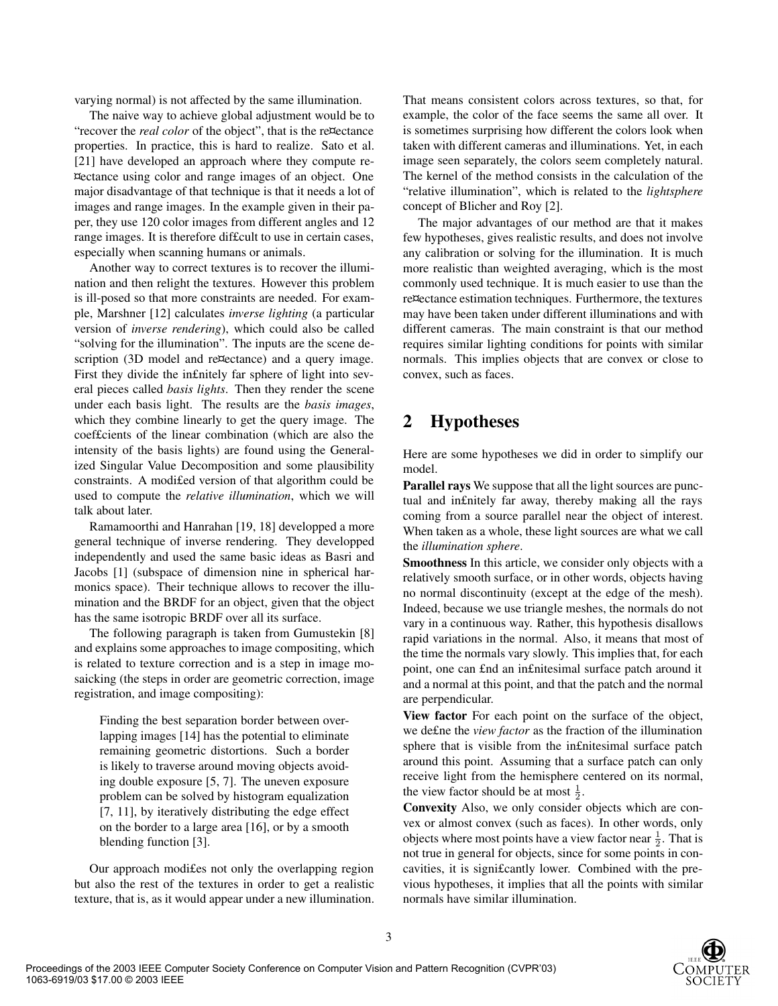varying normal) is not affected by the same illumination.

The naive way to achieve global adjustment would be to "recover the *real color* of the object", that is the re¤ectance properties. In practice, this is hard to realize. Sato et al. [21] have developed an approach where they compute re- ¤ectance using color and range images of an object. One major disadvantage of that technique is that it needs a lot of images and range images. In the example given in their paper, they use 120 color images from different angles and 12 range images. It is therefore dif£cult to use in certain cases, especially when scanning humans or animals.

Another way to correct textures is to recover the illumination and then relight the textures. However this problem is ill-posed so that more constraints are needed. For example, Marshner [12] calculates *inverse lighting* (a particular version of *inverse rendering*), which could also be called "solving for the illumination". The inputs are the scene description (3D model and re¤ectance) and a query image. First they divide the in£nitely far sphere of light into several pieces called *basis lights*. Then they render the scene under each basis light. The results are the *basis images*, which they combine linearly to get the query image. The coef£cients of the linear combination (which are also the intensity of the basis lights) are found using the Generalized Singular Value Decomposition and some plausibility constraints. A modi£ed version of that algorithm could be used to compute the *relative illumination*, which we will talk about later.

Ramamoorthi and Hanrahan [19, 18] developped a more general technique of inverse rendering. They developped independently and used the same basic ideas as Basri and Jacobs [1] (subspace of dimension nine in spherical harmonics space). Their technique allows to recover the illumination and the BRDF for an object, given that the object has the same isotropic BRDF over all its surface.

The following paragraph is taken from Gumustekin [8] and explains some approaches to image compositing, which is related to texture correction and is a step in image mosaicking (the steps in order are geometric correction, image registration, and image compositing):

Finding the best separation border between overlapping images [14] has the potential to eliminate remaining geometric distortions. Such a border is likely to traverse around moving objects avoiding double exposure [5, 7]. The uneven exposure problem can be solved by histogram equalization [7, 11], by iteratively distributing the edge effect on the border to a large area [16], or by a smooth blending function [3].

Our approach modi£es not only the overlapping region but also the rest of the textures in order to get a realistic texture, that is, as it would appear under a new illumination.

That means consistent colors across textures, so that, for example, the color of the face seems the same all over. It is sometimes surprising how different the colors look when taken with different cameras and illuminations. Yet, in each image seen separately, the colors seem completely natural. The kernel of the method consists in the calculation of the "relative illumination", which is related to the *lightsphere* concept of Blicher and Roy [2].

The major advantages of our method are that it makes few hypotheses, gives realistic results, and does not involve any calibration or solving for the illumination. It is much more realistic than weighted averaging, which is the most commonly used technique. It is much easier to use than the re¤ectance estimation techniques. Furthermore, the textures may have been taken under different illuminations and with different cameras. The main constraint is that our method requires similar lighting conditions for points with similar normals. This implies objects that are convex or close to convex, such as faces.

# **2 Hypotheses**

Here are some hypotheses we did in order to simplify our model.

**Parallel rays** We suppose that all the light sources are punctual and in£nitely far away, thereby making all the rays coming from a source parallel near the object of interest. When taken as a whole, these light sources are what we call the *illumination sphere*.

**Smoothness** In this article, we consider only objects with a relatively smooth surface, or in other words, objects having no normal discontinuity (except at the edge of the mesh). Indeed, because we use triangle meshes, the normals do not vary in a continuous way. Rather, this hypothesis disallows rapid variations in the normal. Also, it means that most of the time the normals vary slowly. This implies that, for each point, one can £nd an in£nitesimal surface patch around it and a normal at this point, and that the patch and the normal are perpendicular.

**View factor** For each point on the surface of the object, we de£ne the *view factor* as the fraction of the illumination sphere that is visible from the in£nitesimal surface patch around this point. Assuming that a surface patch can only receive light from the hemisphere centered on its normal, the view factor should be at most  $\frac{1}{2}$ .

**Convexity** Also, we only consider objects which are convex or almost convex (such as faces). In other words, only objects where most points have a view factor near  $\frac{1}{2}$ . That is not true in general for objects, since for some points in concavities, it is signi£cantly lower. Combined with the previous hypotheses, it implies that all the points with similar normals have similar illumination.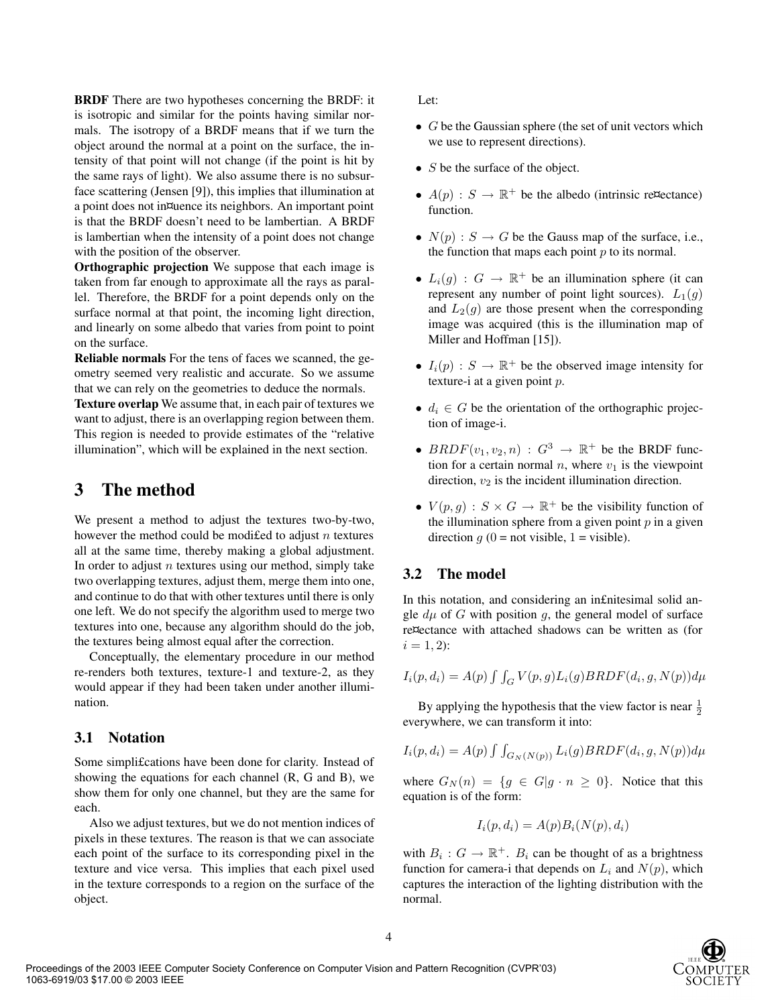**BRDF** There are two hypotheses concerning the BRDF: it is isotropic and similar for the points having similar normals. The isotropy of a BRDF means that if we turn the object around the normal at a point on the surface, the intensity of that point will not change (if the point is hit by the same rays of light). We also assume there is no subsurface scattering (Jensen [9]), this implies that illumination at a point does not in¤uence its neighbors. An important point is that the BRDF doesn't need to be lambertian. A BRDF is lambertian when the intensity of a point does not change with the position of the observer.

**Orthographic projection** We suppose that each image is taken from far enough to approximate all the rays as parallel. Therefore, the BRDF for a point depends only on the surface normal at that point, the incoming light direction, and linearly on some albedo that varies from point to point on the surface.

**Reliable normals** For the tens of faces we scanned, the geometry seemed very realistic and accurate. So we assume that we can rely on the geometries to deduce the normals.

**Texture overlap** We assume that, in each pair of textures we want to adjust, there is an overlapping region between them. This region is needed to provide estimates of the "relative illumination", which will be explained in the next section.

## **3 The method**

We present a method to adjust the textures two-by-two, however the method could be modified to adjust  $n$  textures all at the same time, thereby making a global adjustment. In order to adjust  $n$  textures using our method, simply take two overlapping textures, adjust them, merge them into one, and continue to do that with other textures until there is only one left. We do not specify the algorithm used to merge two textures into one, because any algorithm should do the job, the textures being almost equal after the correction.

Conceptually, the elementary procedure in our method re-renders both textures, texture-1 and texture-2, as they would appear if they had been taken under another illumination.

### **3.1 Notation**

Some simpli£cations have been done for clarity. Instead of showing the equations for each channel (R, G and B), we show them for only one channel, but they are the same for each.

Also we adjust textures, but we do not mention indices of pixels in these textures. The reason is that we can associate each point of the surface to its corresponding pixel in the texture and vice versa. This implies that each pixel used in the texture corresponds to a region on the surface of the object.

Let:

- $\bullet$  G be the Gaussian sphere (the set of unit vectors which we use to represent directions).
- $S$  be the surface of the object.
- $A(p) : S \to \mathbb{R}^+$  be the albedo (intrinsic re¤ectance) function.
- $N(p)$ :  $S \rightarrow G$  be the Gauss map of the surface, i.e., the function that maps each point  $p$  to its normal.
- $L_i(g) : G \to \mathbb{R}^+$  be an illumination sphere (it can represent any number of point light sources).  $L_1(g)$ and  $L_2(g)$  are those present when the corresponding image was acquired (this is the illumination map of Miller and Hoffman [15]).
- $I_i(p) : S \to \mathbb{R}^+$  be the observed image intensity for texture-i at a given point p.
- $d_i \in G$  be the orientation of the orthographic projection of image-i.
- $BRDF(v_1, v_2, n) : G^3 \rightarrow \mathbb{R}^+$  be the BRDF function for a certain normal *n*, where  $v_1$  is the viewpoint direction,  $v_2$  is the incident illumination direction.
- $V(p,q) : S \times G \to \mathbb{R}^+$  be the visibility function of the illumination sphere from a given point  $p$  in a given direction  $g(0 = not visible, 1 = visible)$ .

### **3.2 The model**

In this notation, and considering an in£nitesimal solid angle  $d\mu$  of G with position g, the general model of surface re¤ectance with attached shadows can be written as (for  $i = 1, 2$ :

$$
I_i(p, d_i) = A(p) \int \int_G V(p, g) L_i(g) B R D F(d_i, g, N(p)) d\mu
$$

By applying the hypothesis that the view factor is near  $\frac{1}{2}$ everywhere, we can transform it into:

$$
I_i(p, d_i) = A(p) \int \int_{G_N(N(p))} L_i(g) B R D F(d_i, g, N(p)) d\mu
$$

where  $G_N(n) = \{g \in G | g \cdot n \geq 0\}$ . Notice that this equation is of the form:

$$
I_i(p, d_i) = A(p)B_i(N(p), d_i)
$$

with  $B_i: G \to \mathbb{R}^+$ .  $B_i$  can be thought of as a brightness function for camera-i that depends on  $L_i$  and  $N(p)$ , which captures the interaction of the lighting distribution with the normal.

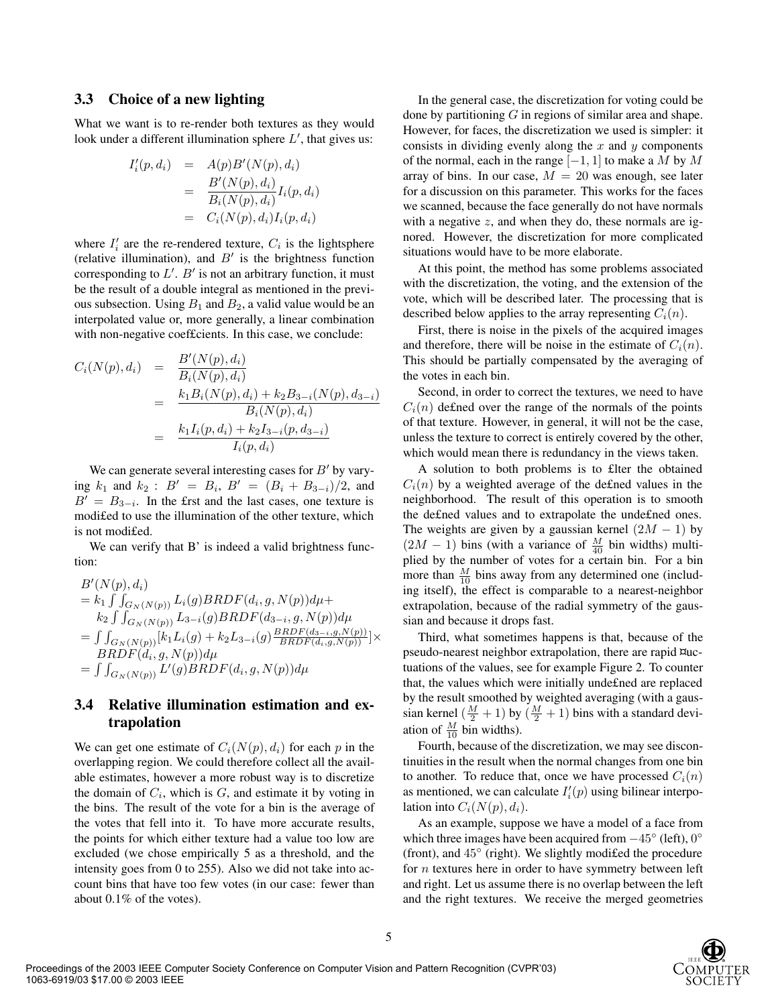#### **3.3 Choice of a new lighting**

What we want is to re-render both textures as they would look under a different illumination sphere  $L'$ , that gives us:

$$
I'_i(p, d_i) = A(p)B'(N(p), d_i)
$$
  
= 
$$
\frac{B'(N(p), d_i)}{B_i(N(p), d_i)} I_i(p, d_i)
$$
  
= 
$$
C_i(N(p), d_i) I_i(p, d_i)
$$

where  $I_i'$  are the re-rendered texture,  $C_i$  is the lightsphere (relative illumination), and  $B'$  is the brightness function corresponding to  $L'$ .  $B'$  is not an arbitrary function, it must be the result of a double integral as mentioned in the previous subsection. Using  $B_1$  and  $B_2$ , a valid value would be an interpolated value or, more generally, a linear combination with non-negative coef£cients. In this case, we conclude:

$$
C_i(N(p), d_i) = \frac{B'(N(p), d_i)}{B_i(N(p), d_i)}
$$
  
= 
$$
\frac{k_1 B_i(N(p), d_i) + k_2 B_{3-i}(N(p), d_{3-i})}{B_i(N(p), d_i)}
$$
  
= 
$$
\frac{k_1 I_i(p, d_i) + k_2 I_{3-i}(p, d_{3-i})}{I_i(p, d_i)}
$$

We can generate several interesting cases for  $B'$  by varying  $k_1$  and  $k_2$ :  $B' = B_i$ ,  $B' = (B_i + B_{3-i})/2$ , and  $B' = B_{3-i}$ . In the £rst and the last cases, one texture is modi£ed to use the illumination of the other texture, which is not modi£ed.

We can verify that B' is indeed a valid brightness function:

$$
B'(N(p), d_i)
$$
  
=  $k_1 \int \int_{G_N(N(p))} L_i(g) BRDF(d_i, g, N(p)) d\mu +$   
 $k_2 \int \int_{G_N(N(p))} L_{3-i}(g) BRDF(d_{3-i}, g, N(p)) d\mu$   
=  $\int \int_{G_N(N(p))} [k_1 L_i(g) + k_2 L_{3-i}(g) \frac{BRDF(d_{3-i}, g, N(p))}{BRDF(d_i, g, N(p))}] \times$   
=  $\int \int_{G_N(N(p))} L'(g) BRDF(d_i, g, N(p)) d\mu$ 

## **3.4 Relative illumination estimation and extrapolation**

We can get one estimate of  $C_i(N(p), d_i)$  for each p in the overlapping region. We could therefore collect all the available estimates, however a more robust way is to discretize the domain of  $C_i$ , which is  $G$ , and estimate it by voting in the bins. The result of the vote for a bin is the average of the votes that fell into it. To have more accurate results, the points for which either texture had a value too low are excluded (we chose empirically 5 as a threshold, and the intensity goes from 0 to 255). Also we did not take into account bins that have too few votes (in our case: fewer than about 0.1% of the votes).

In the general case, the discretization for voting could be done by partitioning  $G$  in regions of similar area and shape. However, for faces, the discretization we used is simpler: it consists in dividing evenly along the  $x$  and  $y$  components of the normal, each in the range  $[-1, 1]$  to make a M by M array of bins. In our case,  $M = 20$  was enough, see later for a discussion on this parameter. This works for the faces we scanned, because the face generally do not have normals with a negative  $z$ , and when they do, these normals are ignored. However, the discretization for more complicated situations would have to be more elaborate.

At this point, the method has some problems associated with the discretization, the voting, and the extension of the vote, which will be described later. The processing that is described below applies to the array representing  $C_i(n)$ .

First, there is noise in the pixels of the acquired images and therefore, there will be noise in the estimate of  $C_i(n)$ . This should be partially compensated by the averaging of the votes in each bin.

Second, in order to correct the textures, we need to have  $C_i(n)$  defined over the range of the normals of the points of that texture. However, in general, it will not be the case, unless the texture to correct is entirely covered by the other, which would mean there is redundancy in the views taken.

A solution to both problems is to £lter the obtained  $C_i(n)$  by a weighted average of the defined values in the neighborhood. The result of this operation is to smooth the de£ned values and to extrapolate the unde£ned ones. The weights are given by a gaussian kernel  $(2M - 1)$  by  $(2M - 1)$  bins (with a variance of  $\frac{M}{40}$  bin widths) multiplied by the number of votes for a certain bin. For a bin more than  $\frac{M}{10}$  bins away from any determined one (including itself), the effect is comparable to a nearest-neighbor extrapolation, because of the radial symmetry of the gaussian and because it drops fast.

Third, what sometimes happens is that, because of the pseudo-nearest neighbor extrapolation, there are rapid  $\alpha$ uctuations of the values, see for example Figure 2. To counter that, the values which were initially unde£ned are replaced by the result smoothed by weighted averaging (with a gaussian kernel  $(\frac{M}{2} + 1)$  by  $(\frac{M}{2} + 1)$  bins with a standard deviation of  $\frac{M}{10}$  bin widths).

Fourth, because of the discretization, we may see discontinuities in the result when the normal changes from one bin to another. To reduce that, once we have processed  $C_i(n)$ as mentioned, we can calculate  $I_i'(p)$  using bilinear interpolation into  $C_i(N(p), d_i)$ .

As an example, suppose we have a model of a face from which three images have been acquired from  $-45^\circ$  (left), 0 $^\circ$ (front), and 45◦ (right). We slightly modi£ed the procedure for n textures here in order to have symmetry between left and right. Let us assume there is no overlap between the left and the right textures. We receive the merged geometries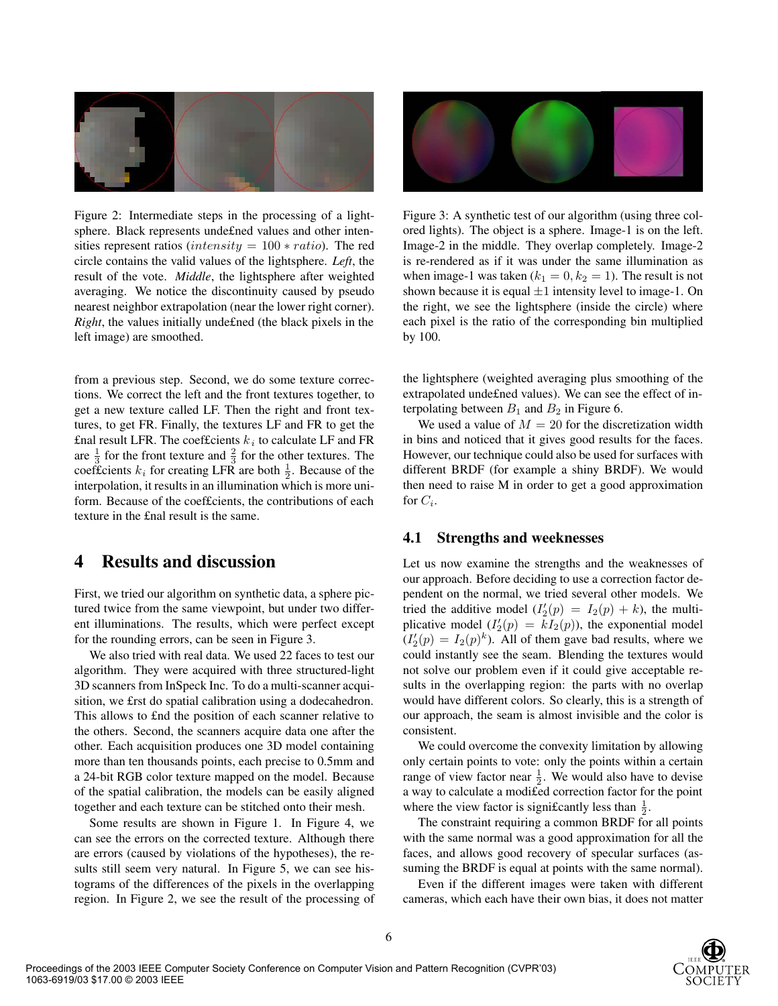

Figure 2: Intermediate steps in the processing of a lightsphere. Black represents unde£ned values and other intensities represent ratios (intensity =  $100 * ratio$ ). The red circle contains the valid values of the lightsphere. *Left*, the result of the vote. *Middle*, the lightsphere after weighted averaging. We notice the discontinuity caused by pseudo nearest neighbor extrapolation (near the lower right corner). *Right*, the values initially unde£ned (the black pixels in the left image) are smoothed.

from a previous step. Second, we do some texture corrections. We correct the left and the front textures together, to get a new texture called LF. Then the right and front textures, to get FR. Finally, the textures LF and FR to get the £nal result LFR. The coef£cients  $k_i$  to calculate LF and FR are  $\frac{1}{3}$  for the front texture and  $\frac{2}{3}$  for the other textures. The coefficients  $k_i$  for creating LFR are both  $\frac{1}{2}$ . Because of the interpolation, it results in an illumination which is more uniform. Because of the coef£cients, the contributions of each texture in the £nal result is the same.

## **4 Results and discussion**

First, we tried our algorithm on synthetic data, a sphere pictured twice from the same viewpoint, but under two different illuminations. The results, which were perfect except for the rounding errors, can be seen in Figure 3.

We also tried with real data. We used 22 faces to test our algorithm. They were acquired with three structured-light 3D scanners from InSpeck Inc. To do a multi-scanner acquisition, we £rst do spatial calibration using a dodecahedron. This allows to £nd the position of each scanner relative to the others. Second, the scanners acquire data one after the other. Each acquisition produces one 3D model containing more than ten thousands points, each precise to 0.5mm and a 24-bit RGB color texture mapped on the model. Because of the spatial calibration, the models can be easily aligned together and each texture can be stitched onto their mesh.

Some results are shown in Figure 1. In Figure 4, we can see the errors on the corrected texture. Although there are errors (caused by violations of the hypotheses), the results still seem very natural. In Figure 5, we can see histograms of the differences of the pixels in the overlapping region. In Figure 2, we see the result of the processing of



Figure 3: A synthetic test of our algorithm (using three colored lights). The object is a sphere. Image-1 is on the left. Image-2 in the middle. They overlap completely. Image-2 is re-rendered as if it was under the same illumination as when image-1 was taken ( $k_1 = 0, k_2 = 1$ ). The result is not shown because it is equal  $\pm 1$  intensity level to image-1. On the right, we see the lightsphere (inside the circle) where each pixel is the ratio of the corresponding bin multiplied by 100.

the lightsphere (weighted averaging plus smoothing of the extrapolated unde£ned values). We can see the effect of interpolating between  $B_1$  and  $B_2$  in Figure 6.

We used a value of  $M = 20$  for the discretization width in bins and noticed that it gives good results for the faces. However, our technique could also be used for surfaces with different BRDF (for example a shiny BRDF). We would then need to raise M in order to get a good approximation for  $C_i$ .

#### **4.1 Strengths and weeknesses**

Let us now examine the strengths and the weaknesses of our approach. Before deciding to use a correction factor dependent on the normal, we tried several other models. We tried the additive model  $(I'_2(p) = I_2(p) + k)$ , the multiplicative model  $(I'_2(p) = kI_2(p)$ , the exponential model  $(I_2'(p) = I_2(p)^k$ . All of them gave bad results, where we could instantly see the seam. Blending the textures would not solve our problem even if it could give acceptable results in the overlapping region: the parts with no overlap would have different colors. So clearly, this is a strength of our approach, the seam is almost invisible and the color is consistent.

We could overcome the convexity limitation by allowing only certain points to vote: only the points within a certain range of view factor near  $\frac{1}{2}$ . We would also have to devise a way to calculate a modi£ed correction factor for the point where the view factor is significantly less than  $\frac{1}{2}$ .

The constraint requiring a common BRDF for all points with the same normal was a good approximation for all the faces, and allows good recovery of specular surfaces (assuming the BRDF is equal at points with the same normal).

Even if the different images were taken with different cameras, which each have their own bias, it does not matter

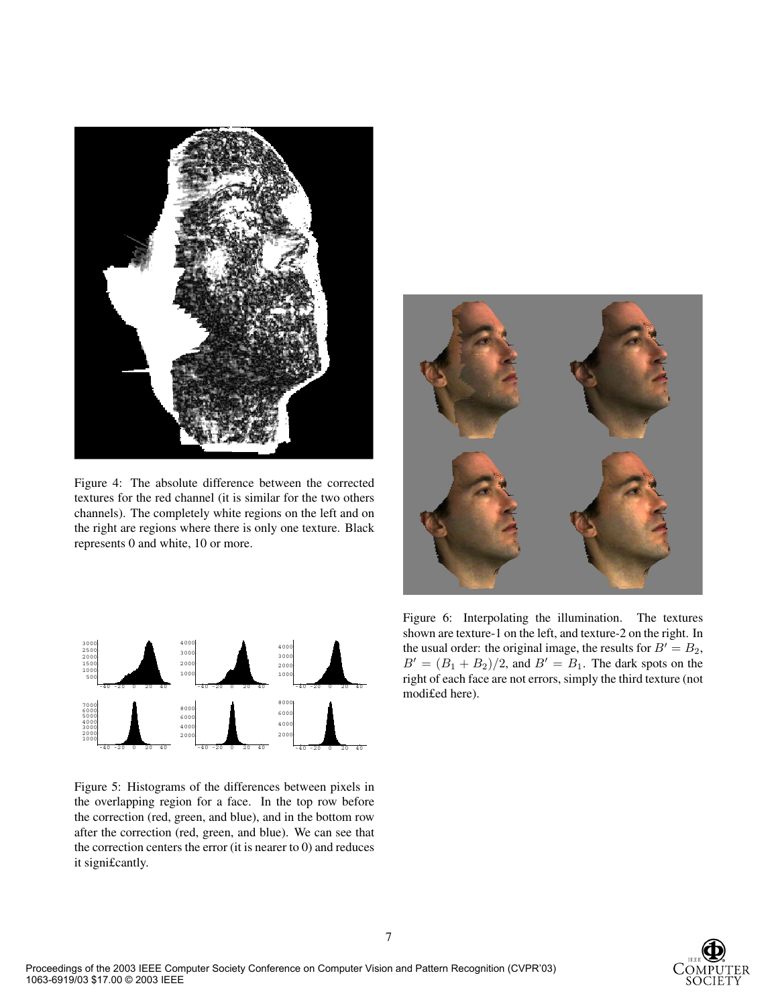

Figure 4: The absolute difference between the corrected textures for the red channel (it is similar for the two others channels). The completely white regions on the left and on the right are regions where there is only one texture. Black represents 0 and white, 10 or more.





Figure 5: Histograms of the differences between pixels in the overlapping region for a face. In the top row before the correction (red, green, and blue), and in the bottom row after the correction (red, green, and blue). We can see that the correction centers the error (it is nearer to 0) and reduces it signi£cantly.

Figure 6: Interpolating the illumination. The textures shown are texture-1 on the left, and texture-2 on the right. In the usual order: the original image, the results for  $B' = B_2$ ,  $B' = (B_1 + B_2)/2$ , and  $B' = B_1$ . The dark spots on the right of each face are not errors, simply the third texture (not modi£ed here).